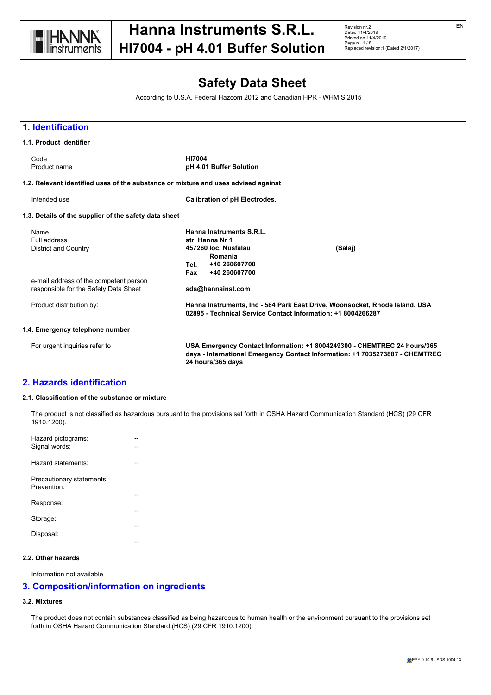

**HI7004 - pH 4.01 Buffer Solution**

Revision nr.2 Dated 11/4/2019 Printed on 11/4/2019 Page n. 1 / 8 Replaced revision:1 (Dated 2/1/2017)

# **Safety Data Sheet**

According to U.S.A. Federal Hazcom 2012 and Canadian HPR - WHMIS 2015



#### **2.1. Classification of the substance or mixture**

The product is not classified as hazardous pursuant to the provisions set forth in OSHA Hazard Communication Standard (HCS) (29 CFR 1910.1200).

| Hazard pictograms:<br>Signal words:                  |  |
|------------------------------------------------------|--|
| Hazard statements:                                   |  |
| Precautionary statements:<br>Prevention <sup>-</sup> |  |
| Response:                                            |  |
| Storage:                                             |  |
| Disposal:                                            |  |
|                                                      |  |

## **2.2. Other hazards**

Information not available

# **3. Composition/information on ingredients**

# **3.2. Mixtures**

The product does not contain substances classified as being hazardous to human health or the environment pursuant to the provisions set forth in OSHA Hazard Communication Standard (HCS) (29 CFR 1910.1200).

EN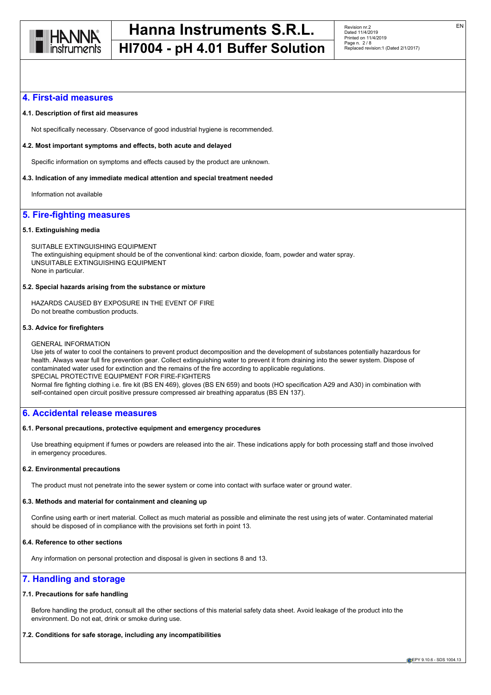

# **HI7004 - pH 4.01 Buffer Solution**

### **4. First-aid measures**

#### **4.1. Description of first aid measures**

Not specifically necessary. Observance of good industrial hygiene is recommended.

#### **4.2. Most important symptoms and effects, both acute and delayed**

Specific information on symptoms and effects caused by the product are unknown.

#### **4.3. Indication of any immediate medical attention and special treatment needed**

Information not available

# **5. Fire-fighting measures**

#### **5.1. Extinguishing media**

SUITABLE EXTINGUISHING EQUIPMENT The extinguishing equipment should be of the conventional kind: carbon dioxide, foam, powder and water spray. UNSUITABLE EXTINGUISHING EQUIPMENT None in particular.

#### **5.2. Special hazards arising from the substance or mixture**

HAZARDS CAUSED BY EXPOSURE IN THE EVENT OF FIRE Do not breathe combustion products.

#### **5.3. Advice for firefighters**

#### GENERAL INFORMATION

Use jets of water to cool the containers to prevent product decomposition and the development of substances potentially hazardous for health. Always wear full fire prevention gear. Collect extinguishing water to prevent it from draining into the sewer system. Dispose of contaminated water used for extinction and the remains of the fire according to applicable regulations. SPECIAL PROTECTIVE EQUIPMENT FOR FIRE-FIGHTERS Normal fire fighting clothing i.e. fire kit (BS EN 469), gloves (BS EN 659) and boots (HO specification A29 and A30) in combination with self-contained open circuit positive pressure compressed air breathing apparatus (BS EN 137).

## **6. Accidental release measures**

#### **6.1. Personal precautions, protective equipment and emergency procedures**

Use breathing equipment if fumes or powders are released into the air. These indications apply for both processing staff and those involved in emergency procedures.

#### **6.2. Environmental precautions**

The product must not penetrate into the sewer system or come into contact with surface water or ground water.

#### **6.3. Methods and material for containment and cleaning up**

Confine using earth or inert material. Collect as much material as possible and eliminate the rest using jets of water. Contaminated material should be disposed of in compliance with the provisions set forth in point 13.

# **6.4. Reference to other sections**

Any information on personal protection and disposal is given in sections 8 and 13.

# **7. Handling and storage**

#### **7.1. Precautions for safe handling**

Before handling the product, consult all the other sections of this material safety data sheet. Avoid leakage of the product into the environment. Do not eat, drink or smoke during use.

## **7.2. Conditions for safe storage, including any incompatibilities**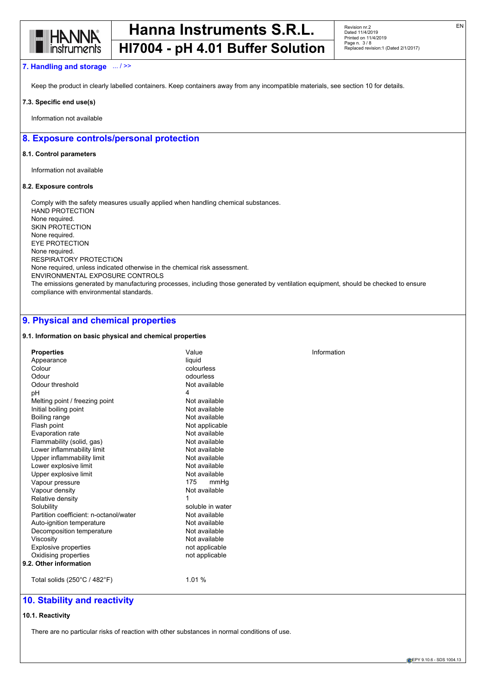

### **7. Handling and storage** ... / >>

Keep the product in clearly labelled containers. Keep containers away from any incompatible materials, see section 10 for details.

#### **7.3. Specific end use(s)**

Information not available

# **8. Exposure controls/personal protection**

#### **8.1. Control parameters**

Information not available

#### **8.2. Exposure controls**

Comply with the safety measures usually applied when handling chemical substances. HAND PROTECTION None required. SKIN PROTECTION None required. EYE PROTECTION None required. RESPIRATORY PROTECTION None required, unless indicated otherwise in the chemical risk assessment. ENVIRONMENTAL EXPOSURE CONTROLS The emissions generated by manufacturing processes, including those generated by ventilation equipment, should be checked to ensure compliance with environmental standards.

# **9. Physical and chemical properties**

#### **9.1. Information on basic physical and chemical properties**

| <b>Properties</b>                            | Value            | Information |
|----------------------------------------------|------------------|-------------|
| Appearance                                   | liquid           |             |
| Colour                                       | colourless       |             |
| Odour                                        | odourless        |             |
| Odour threshold                              | Not available    |             |
| pH                                           | 4                |             |
| Melting point / freezing point               | Not available    |             |
| Initial boiling point                        | Not available    |             |
| Boiling range                                | Not available    |             |
| Flash point                                  | Not applicable   |             |
| Evaporation rate                             | Not available    |             |
| Flammability (solid, gas)                    | Not available    |             |
| Lower inflammability limit                   | Not available    |             |
| Upper inflammability limit                   | Not available    |             |
| Lower explosive limit                        | Not available    |             |
| Upper explosive limit                        | Not available    |             |
| Vapour pressure                              | 175<br>mmHq      |             |
| Vapour density                               | Not available    |             |
| Relative density                             |                  |             |
| Solubility                                   | soluble in water |             |
| Partition coefficient: n-octanol/water       | Not available    |             |
| Auto-ignition temperature                    | Not available    |             |
| Decomposition temperature                    | Not available    |             |
| Viscosity                                    | Not available    |             |
| Explosive properties                         | not applicable   |             |
| Oxidising properties                         | not applicable   |             |
| 9.2. Other information                       |                  |             |
| Total solids $(250^{\circ}C / 482^{\circ}F)$ | 1.01 %           |             |
|                                              |                  |             |

# **10. Stability and reactivity**

#### **10.1. Reactivity**

There are no particular risks of reaction with other substances in normal conditions of use.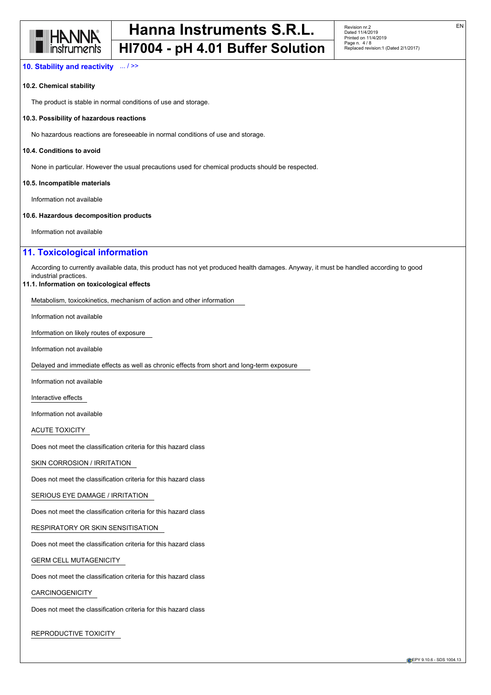

#### **10. Stability and reactivity** ... / >>

#### **10.2. Chemical stability**

The product is stable in normal conditions of use and storage.

#### **10.3. Possibility of hazardous reactions**

No hazardous reactions are foreseeable in normal conditions of use and storage.

#### **10.4. Conditions to avoid**

None in particular. However the usual precautions used for chemical products should be respected.

#### **10.5. Incompatible materials**

Information not available

#### **10.6. Hazardous decomposition products**

Information not available

# **11. Toxicological information**

According to currently available data, this product has not yet produced health damages. Anyway, it must be handled according to good industrial practices.

#### **11.1. Information on toxicological effects**

Metabolism, toxicokinetics, mechanism of action and other information

Information not available

Information on likely routes of exposure

Information not available

Delayed and immediate effects as well as chronic effects from short and long-term exposure

Information not available

Interactive effects

Information not available

ACUTE TOXICITY

Does not meet the classification criteria for this hazard class

SKIN CORROSION / IRRITATION

Does not meet the classification criteria for this hazard class

SERIOUS EYE DAMAGE / IRRITATION

Does not meet the classification criteria for this hazard class

RESPIRATORY OR SKIN SENSITISATION

Does not meet the classification criteria for this hazard class

GERM CELL MUTAGENICITY

Does not meet the classification criteria for this hazard class

## CARCINOGENICITY

Does not meet the classification criteria for this hazard class

REPRODUCTIVE TOXICITY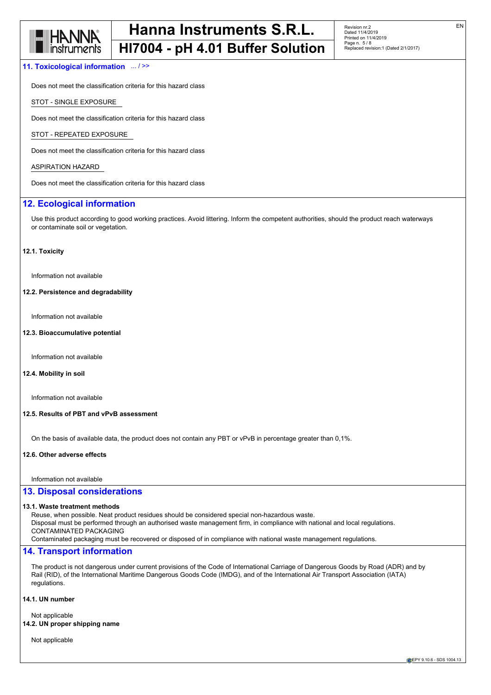

#### **11. Toxicological information** ... / >>

Does not meet the classification criteria for this hazard class

STOT - SINGLE EXPOSURE

Does not meet the classification criteria for this hazard class

STOT - REPEATED EXPOSURE

Does not meet the classification criteria for this hazard class

## ASPIRATION HAZARD

Does not meet the classification criteria for this hazard class

# **12. Ecological information**

Use this product according to good working practices. Avoid littering. Inform the competent authorities, should the product reach waterways or contaminate soil or vegetation.

#### **12.1. Toxicity**

Information not available

#### **12.2. Persistence and degradability**

Information not available

#### **12.3. Bioaccumulative potential**

Information not available

#### **12.4. Mobility in soil**

Information not available

#### **12.5. Results of PBT and vPvB assessment**

On the basis of available data, the product does not contain any PBT or vPvB in percentage greater than 0,1%.

#### **12.6. Other adverse effects**

Information not available

#### **13. Disposal considerations**

#### **13.1. Waste treatment methods**

Reuse, when possible. Neat product residues should be considered special non-hazardous waste. Disposal must be performed through an authorised waste management firm, in compliance with national and local regulations.

CONTAMINATED PACKAGING

Contaminated packaging must be recovered or disposed of in compliance with national waste management regulations.

#### **14. Transport information**

The product is not dangerous under current provisions of the Code of International Carriage of Dangerous Goods by Road (ADR) and by Rail (RID), of the International Maritime Dangerous Goods Code (IMDG), and of the International Air Transport Association (IATA) regulations.

### **14.1. UN number**

Not applicable

#### **14.2. UN proper shipping name**

Not applicable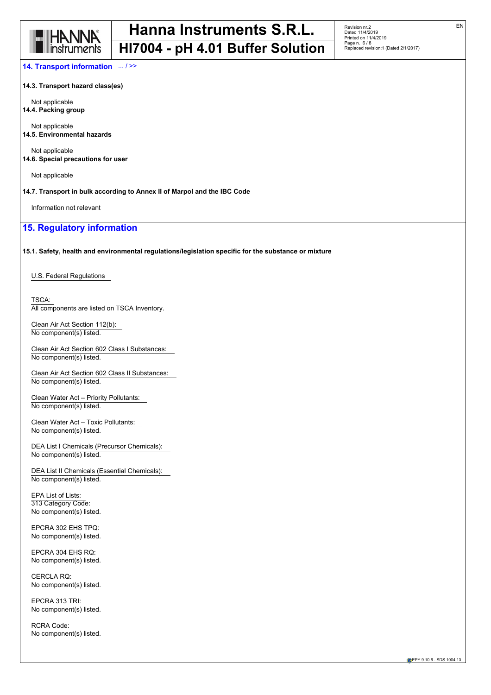

**HI7004 - pH 4.01 Buffer Solution**

**14. Transport information** ... / >>

**14.3. Transport hazard class(es)**

Not applicable **14.4. Packing group**

Not applicable **14.5. Environmental hazards**

Not applicable

**14.6. Special precautions for user**

Not applicable

**14.7. Transport in bulk according to Annex II of Marpol and the IBC Code**

Information not relevant

# **15. Regulatory information**

**15.1. Safety, health and environmental regulations/legislation specific for the substance or mixture**

U.S. Federal Regulations

TSCA: All components are listed on TSCA Inventory.

Clean Air Act Section 112(b): No component(s) listed.

Clean Air Act Section 602 Class I Substances: No component(s) listed.

Clean Air Act Section 602 Class II Substances: No component(s) listed.

Clean Water Act – Priority Pollutants: No component(s) listed.

Clean Water Act – Toxic Pollutants: No component(s) listed.

DEA List I Chemicals (Precursor Chemicals): No component(s) listed.

DEA List II Chemicals (Essential Chemicals): No component(s) listed.

EPA List of Lists: 313 Category Code: No component(s) listed.

EPCRA 302 EHS TPQ: No component(s) listed.

EPCRA 304 EHS RQ: No component(s) listed.

CERCLA RQ: No component(s) listed.

EPCRA 313 TRI: No component(s) listed.

RCRA Code: No component(s) listed.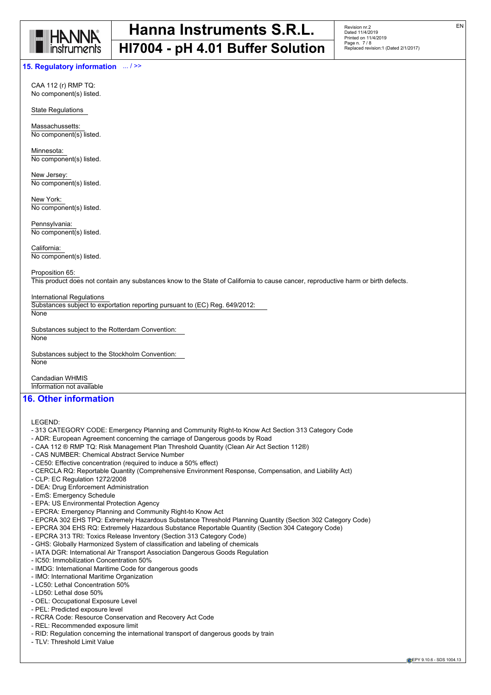

#### **15. Regulatory information** ... / >>

CAA 112 (r) RMP TQ: No component(s) listed.

State Regulations

Massachussetts: No component(s) listed.

Minnesota: No component(s) listed.

New Jersey: No component(s) listed.

New York: No component(s) listed.

Pennsylvania: No component(s) listed.

California: No component(s) listed.

Proposition 65: This product does not contain any substances know to the State of California to cause cancer, reproductive harm or birth defects.

International Regulations

Substances subject to exportation reporting pursuant to (EC) Reg. 649/2012:

**None** 

Substances subject to the Rotterdam Convention:

**None** 

Substances subject to the Stockholm Convention: **None** 

Candadian WHMIS Information not available

# **16. Other information**

LEGEND:

- 313 CATEGORY CODE: Emergency Planning and Community Right-to Know Act Section 313 Category Code
- ADR: European Agreement concerning the carriage of Dangerous goods by Road
- CAA 112 ® RMP TQ: Risk Management Plan Threshold Quantity (Clean Air Act Section 112®)
- CAS NUMBER: Chemical Abstract Service Number
- CE50: Effective concentration (required to induce a 50% effect)
- CERCLA RQ: Reportable Quantity (Comprehensive Environment Response, Compensation, and Liability Act)
- CLP: EC Regulation 1272/2008
- DEA: Drug Enforcement Administration
- EmS: Emergency Schedule
- EPA: US Environmental Protection Agency
- EPCRA: Emergency Planning and Community Right-to Know Act
- EPCRA 302 EHS TPQ: Extremely Hazardous Substance Threshold Planning Quantity (Section 302 Category Code)
- EPCRA 304 EHS RQ: Extremely Hazardous Substance Reportable Quantity (Section 304 Category Code)
- EPCRA 313 TRI: Toxics Release Inventory (Section 313 Category Code)
- GHS: Globally Harmonized System of classification and labeling of chemicals
- IATA DGR: International Air Transport Association Dangerous Goods Regulation
- IC50: Immobilization Concentration 50%
- IMDG: International Maritime Code for dangerous goods
- IMO: International Maritime Organization
- LC50: Lethal Concentration 50%
- LD50: Lethal dose 50%
- OEL: Occupational Exposure Level
- PEL: Predicted exposure level
- RCRA Code: Resource Conservation and Recovery Act Code
- REL: Recommended exposure limit
- RID: Regulation concerning the international transport of dangerous goods by train
- TLV: Threshold Limit Value